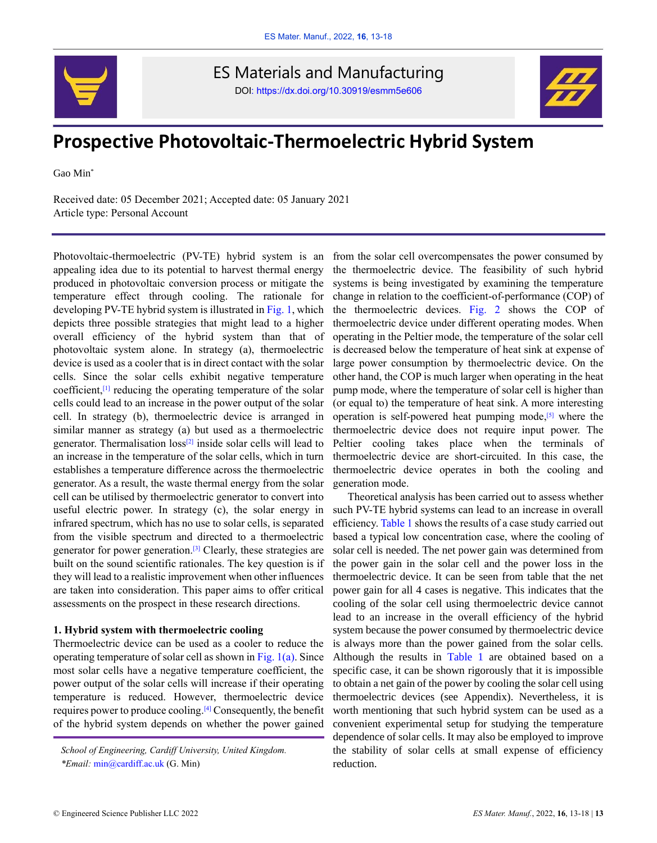

ES Materials and Manufacturing DOI: https://dx.doi.org/10.30919/esmm5e606



# **Prospective Photovoltaic-Thermoelectric Hybrid System**

Gao Min\*

Received date: 05 December 2021; Accepted date: 05 January 2021 Article type: Personal Account

Photovoltaic-thermoelectric (PV-TE) hybrid system is an appealing idea due to its potential to harvest thermal energy produced in photovoltaic conversion process or mitigate the temperature effect through cooling. The rationale for developing PV-TE hybrid system is illustrated in Fig. 1, which depicts three possible strategies that might lead to a higher overall efficiency of the hybrid system than that of photovoltaic system alone. In strategy (a), thermoelectric device is used as a cooler that is in direct contact with the solar cells. Since the solar cells exhibit negative temperature coefficient, [1] reducing the operating temperature of the solar cells could lead to an increase in the power output of the solar cell. In strategy (b), thermoelectric device is arranged in similar manner as strategy (a) but used as a thermoelectric generator. Thermalisation  $loss^{[2]}$  inside solar cells will lead to an increase in the temperature of the solar cells, which in turn establishes a temperature difference across the thermoelectric generator. As a result, the waste thermal energy from the solar cell can be utilised by thermoelectric generator to convert into useful electric power. In strategy (c), the solar energy in infrared spectrum, which has no use to solar cells, is separated from the visible spectrum and directed to a thermoelectric generator for power generation. [3] Clearly, these strategies are built on the sound scientific rationales. The key question is if they will lead to a realistic improvement when other influences are taken into consideration. This paper aims to offer critical assessments on the prospect in these research directions.

#### **1. Hybrid system with thermoelectric cooling**

Thermoelectric device can be used as a cooler to reduce the operating temperature of solar cell as shown in Fig. 1(a). Since most solar cells have a negative temperature coefficient, the power output of the solar cells will increase if their operating temperature is reduced. However, thermoelectric device requires power to produce cooling.<sup>[4]</sup> Consequently, the benefit of the hybrid system depends on whether the power gained

from the solar cell overcompensates the power consumed by the thermoelectric device. The feasibility of such hybrid systems is being investigated by examining the temperature change in relation to the coefficient-of-performance (COP) of the thermoelectric devices. Fig. 2 shows the COP of thermoelectric device under different operating modes. When operating in the Peltier mode, the temperature of the solar cell is decreased below the temperature of heat sink at expense of large power consumption by thermoelectric device. On the other hand, the COP is much larger when operating in the heat pump mode, where the temperature of solar cell is higher than (or equal to) the temperature of heat sink. A more interesting operation is self-powered heat pumping mode, [5] where the thermoelectric device does not require input power. The Peltier cooling takes place when the terminals of thermoelectric device are short-circuited. In this case, the thermoelectric device operates in both the cooling and generation mode.

Theoretical analysis has been carried out to assess whether such PV-TE hybrid systems can lead to an increase in overall efficiency. Table 1 shows the results of a case study carried out based a typical low concentration case, where the cooling of solar cell is needed. The net power gain was determined from the power gain in the solar cell and the power loss in the thermoelectric device. It can be seen from table that the net power gain for all 4 cases is negative. This indicates that the cooling of the solar cell using thermoelectric device cannot lead to an increase in the overall efficiency of the hybrid system because the power consumed by thermoelectric device is always more than the power gained from the solar cells. Although the results in Table 1 are obtained based on a specific case, it can be shown rigorously that it is impossible to obtain a net gain of the power by cooling the solar cell using thermoelectric devices (see Appendix). Nevertheless, it is worth mentioning that such hybrid system can be used as a convenient experimental setup for studying the temperature dependence of solar cells. It may also be employed to improve the stability of solar cells at small expense of efficiency reduction.

*School of Engineering, Cardiff University, United Kingdom. \*Email:* min@cardiff.ac.uk (G. Min)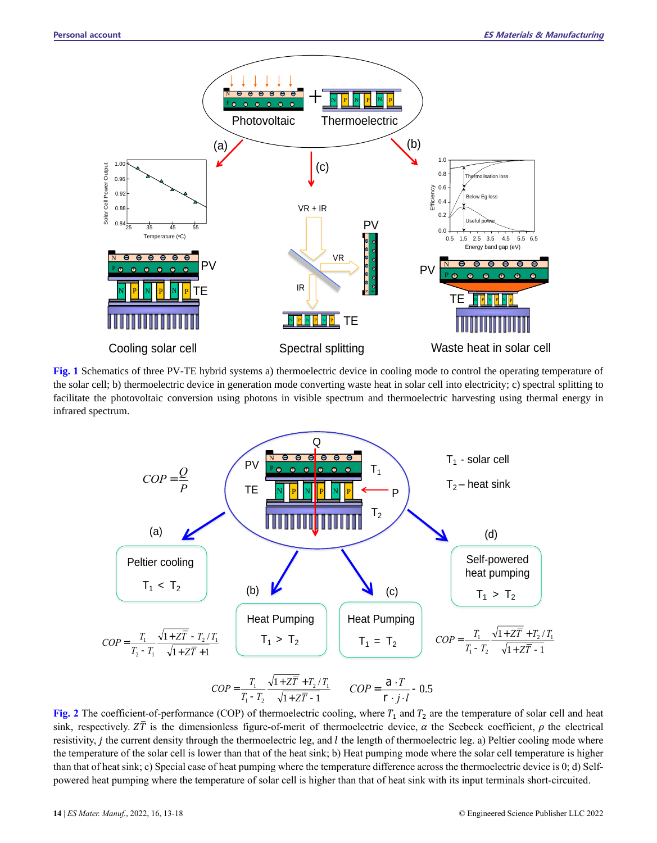

**Fig. 1** Schematics of three PV-TE hybrid systems a) thermoelectric device in cooling mode to control the operating temperature of the solar cell; b) thermoelectric device in generation mode converting waste heat in solar cell into electricity; c) spectral splitting to facilitate the photovoltaic conversion using photons in visible spectrum and thermoelectric harvesting using thermal energy in infrared spectrum.



**Fig. 2** The coefficient-of-performance (COP) of thermoelectric cooling, where  $T_1$  and  $T_2$  are the temperature of solar cell and heat sink, respectively.  $Z\overline{T}$  is the dimensionless figure-of-merit of thermoelectric device,  $\alpha$  the Seebeck coefficient,  $\rho$  the electrical resistivity, *j* the current density through the thermoelectric leg, and  $l$  the length of thermoelectric leg. a) Peltier cooling mode where the temperature of the solar cell is lower than that of the heat sink; b) Heat pumping mode where the solar cell temperature is higher than that of heat sink; c) Special case of heat pumping where the temperature difference across the thermoelectric device is 0; d) Self-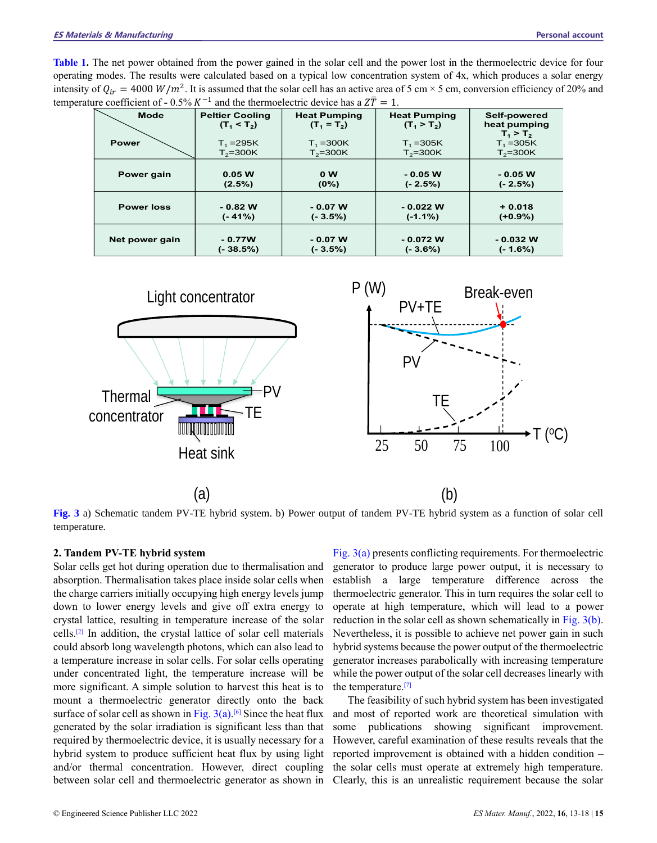**Table 1.** The net power obtained from the power gained in the solar cell and the power lost in the thermoelectric device for four operating modes. The results were calculated based on a typical low concentration system of 4x, which produces a solar energy intensity of  $Q_{ir} = 4000 W/m^2$ . It is assumed that the solar cell has an active area of 5 cm × 5 cm, conversion efficiency of 20% and temperature coefficient of  $-0.5\% K^{-1}$  and the thermoelectric device has a  $Z\overline{T} = 1$ .

| <b>Mode</b>       | <b>Peltier Cooling</b><br>$(T_1 < T_2)$ | <b>Heat Pumping</b><br>$(T_1 = T_2)$ | <b>Heat Pumping</b><br>$(T_1 > T_2)$ | Self-powered<br>heat pumping<br>$T_1 > T_2$ |
|-------------------|-----------------------------------------|--------------------------------------|--------------------------------------|---------------------------------------------|
| <b>Power</b>      | $T_1 = 295K$                            | $T_1 = 300K$                         | $T_1 = 305K$                         | $T_1 = 305K$                                |
|                   | $T_2 = 300K$                            | $T_2 = 300K$                         | $T_2 = 300K$                         | $T_2 = 300K$                                |
| Power gain        | 0.05 W<br>(2.5%)                        | 0 <sub>W</sub><br>$(0\%)$            | $-0.05 W$<br>$(-2.5%)$               | $-0.05 W$<br>$(-2.5%)$                      |
| <b>Power loss</b> | $-0.82$ W<br>$(-41%)$                   | $-0.07 W$<br>$(-3.5\%)$              | $-0.022$ W<br>$(-1.1\%)$             | $+0.018$<br>$(+0.9\%)$                      |
| Net power gain    | $-0.77W$<br>$(-38.5%)$                  | $-0.07 W$<br>$(-3.5\%)$              | $-0.072$ W<br>$(-3.6%)$              | $-0.032$ W<br>(- 1.6%)                      |



**Fig. 3** a) Schematic tandem PV-TE hybrid system. b) Power output of tandem PV-TE hybrid system as a function of solar cell temperature.

#### **2. Tandem PV-TE hybrid system**

Solar cells get hot during operation due to thermalisation and absorption. Thermalisation takes place inside solar cells when the charge carriers initially occupying high energy levels jump down to lower energy levels and give off extra energy to crystal lattice, resulting in temperature increase of the solar cells. [2] In addition, the crystal lattice of solar cell materials could absorb long wavelength photons, which can also lead to a temperature increase in solar cells. For solar cells operating under concentrated light, the temperature increase will be more significant. A simple solution to harvest this heat is to mount a thermoelectric generator directly onto the back surface of solar cell as shown in Fig.  $3(a)$ <sup>[6]</sup> Since the heat flux generated by the solar irradiation is significant less than that required by thermoelectric device, it is usually necessary for a hybrid system to produce sufficient heat flux by using light and/or thermal concentration. However, direct coupling between solar cell and thermoelectric generator as shown in

Fig. 3(a) presents conflicting requirements. For thermoelectric generator to produce large power output, it is necessary to establish a large temperature difference across the thermoelectric generator. This in turn requires the solar cell to operate at high temperature, which will lead to a power reduction in the solar cell as shown schematically in Fig. 3(b). Nevertheless, it is possible to achieve net power gain in such hybrid systems because the power output of the thermoelectric generator increases parabolically with increasing temperature while the power output of the solar cell decreases linearly with the temperature. [7]

The feasibility of such hybrid system has been investigated and most of reported work are theoretical simulation with some publications showing significant improvement. However, careful examination of these results reveals that the reported improvement is obtained with a hidden condition – the solar cells must operate at extremely high temperature. Clearly, this is an unrealistic requirement because the solar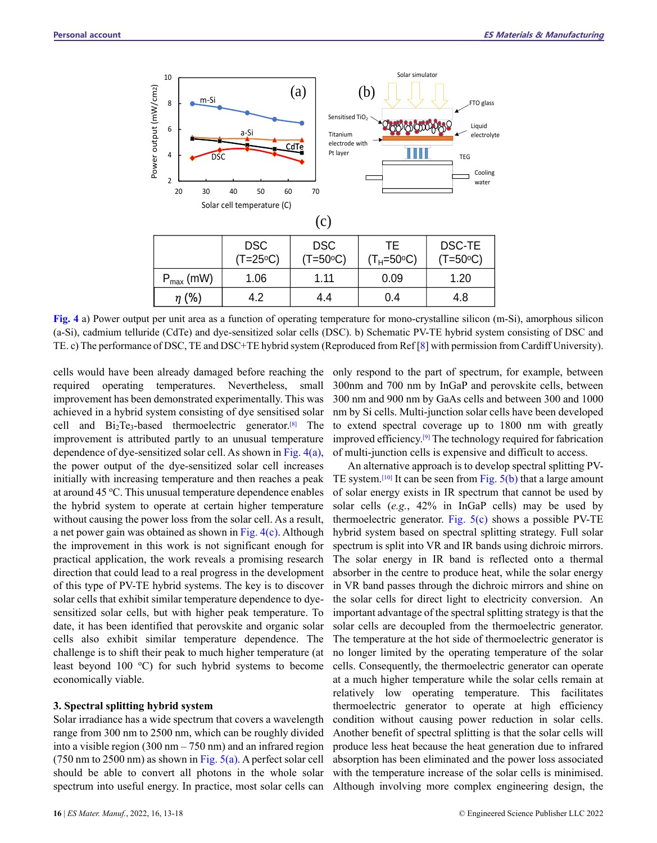

**Fig. 4** a) Power output per unit area as a function of operating temperature for mono-crystalline silicon (m-Si), amorphous silicon (a-Si), cadmium telluride (CdTe) and dye-sensitized solar cells (DSC). b) Schematic PV-TE hybrid system consisting of DSC and TE. c) The performance of DSC, TE and DSC+TE hybrid system (Reproduced from Ref [8] with permission from Cardiff University).

cells would have been already damaged before reaching the required operating temperatures. Nevertheless, small improvement has been demonstrated experimentally. This was achieved in a hybrid system consisting of dye sensitised solar cell and  $Bi_2Te_3$ -based thermoelectric generator.<sup>[8]</sup> The improvement is attributed partly to an unusual temperature dependence of dye-sensitized solar cell. As shown in Fig. 4(a), the power output of the dye-sensitized solar cell increases initially with increasing temperature and then reaches a peak at around 45 °C. This unusual temperature dependence enables the hybrid system to operate at certain higher temperature without causing the power loss from the solar cell. As a result, a net power gain was obtained as shown in Fig. 4(c). Although the improvement in this work is not significant enough for practical application, the work reveals a promising research direction that could lead to a real progress in the development of this type of PV-TE hybrid systems. The key is to discover solar cells that exhibit similar temperature dependence to dyesensitized solar cells, but with higher peak temperature. To date, it has been identified that perovskite and organic solar cells also exhibit similar temperature dependence. The challenge is to shift their peak to much higher temperature (at least beyond 100  $^{\circ}$ C) for such hybrid systems to become economically viable.

#### **3. Spectral splitting hybrid system**

Solar irradiance has a wide spectrum that covers a wavelength range from 300 nm to 2500 nm, which can be roughly divided into a visible region  $(300 \text{ nm} - 750 \text{ nm})$  and an infrared region (750 nm to 2500 nm) as shown in Fig. 5(a). A perfect solar cell should be able to convert all photons in the whole solar spectrum into useful energy. In practice, most solar cells can only respond to the part of spectrum, for example, between 300nm and 700 nm by InGaP and perovskite cells, between 300 nm and 900 nm by GaAs cells and between 300 and 1000 nm by Si cells. Multi-junction solar cells have been developed to extend spectral coverage up to 1800 nm with greatly improved efficiency. [9] The technology required for fabrication of multi-junction cells is expensive and difficult to access.

An alternative approach is to develop spectral splitting PV-TE system.<sup>[10]</sup> It can be seen from Fig.  $5(b)$  that a large amount of solar energy exists in IR spectrum that cannot be used by solar cells (*e.g.*, 42% in InGaP cells) may be used by thermoelectric generator. Fig.  $5(c)$  shows a possible PV-TE hybrid system based on spectral splitting strategy. Full solar spectrum is split into VR and IR bands using dichroic mirrors. The solar energy in IR band is reflected onto a thermal absorber in the centre to produce heat, while the solar energy in VR band passes through the dichroic mirrors and shine on the solar cells for direct light to electricity conversion. An important advantage of the spectral splitting strategy is that the solar cells are decoupled from the thermoelectric generator. The temperature at the hot side of thermoelectric generator is no longer limited by the operating temperature of the solar cells. Consequently, the thermoelectric generator can operate at a much higher temperature while the solar cells remain at relatively low operating temperature. This facilitates thermoelectric generator to operate at high efficiency condition without causing power reduction in solar cells. Another benefit of spectral splitting is that the solar cells will produce less heat because the heat generation due to infrared absorption has been eliminated and the power loss associated with the temperature increase of the solar cells is minimised. Although involving more complex engineering design, the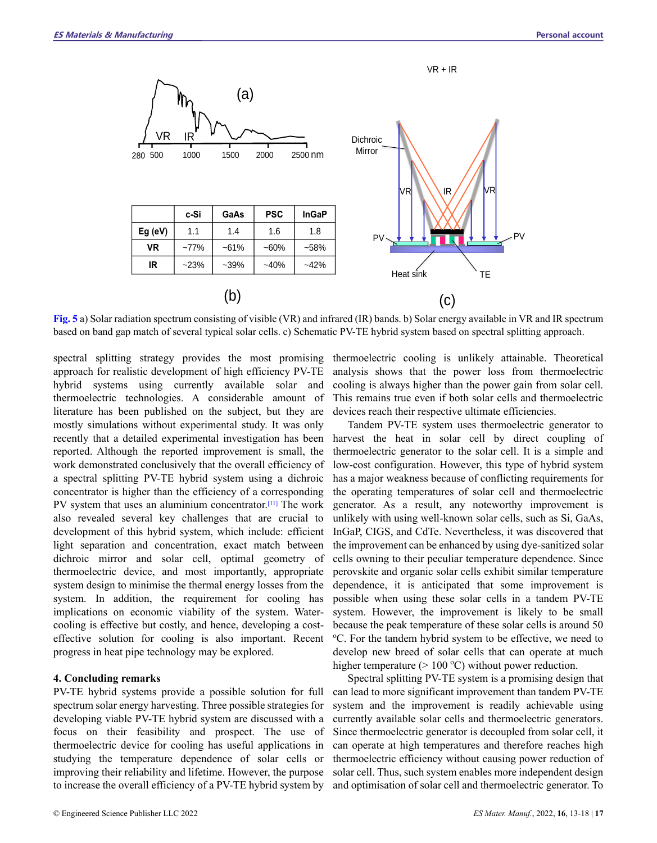

**Fig. 5** a) Solar radiation spectrum consisting of visible (VR) and infrared (IR) bands. b) Solar energy available in VR and IR spectrum based on band gap match of several typical solar cells. c) Schematic PV-TE hybrid system based on spectral splitting approach.

spectral splitting strategy provides the most promising approach for realistic development of high efficiency PV-TE hybrid systems using currently available solar and thermoelectric technologies. A considerable amount of literature has been published on the subject, but they are mostly simulations without experimental study. It was only recently that a detailed experimental investigation has been reported. Although the reported improvement is small, the work demonstrated conclusively that the overall efficiency of a spectral splitting PV-TE hybrid system using a dichroic concentrator is higher than the efficiency of a corresponding PV system that uses an aluminium concentrator.<sup>[11]</sup> The work also revealed several key challenges that are crucial to development of this hybrid system, which include: efficient light separation and concentration, exact match between dichroic mirror and solar cell, optimal geometry of thermoelectric device, and most importantly, appropriate system design to minimise the thermal energy losses from the system. In addition, the requirement for cooling has implications on economic viability of the system. Watercooling is effective but costly, and hence, developing a costeffective solution for cooling is also important. Recent progress in heat pipe technology may be explored.

#### **4. Concluding remarks**

PV-TE hybrid systems provide a possible solution for full spectrum solar energy harvesting. Three possible strategies for developing viable PV-TE hybrid system are discussed with a focus on their feasibility and prospect. The use of thermoelectric device for cooling has useful applications in studying the temperature dependence of solar cells or improving their reliability and lifetime. However, the purpose to increase the overall efficiency of a PV-TE hybrid system by

thermoelectric cooling is unlikely attainable. Theoretical analysis shows that the power loss from thermoelectric cooling is always higher than the power gain from solar cell. This remains true even if both solar cells and thermoelectric devices reach their respective ultimate efficiencies.

Tandem PV-TE system uses thermoelectric generator to harvest the heat in solar cell by direct coupling of thermoelectric generator to the solar cell. It is a simple and low-cost configuration. However, this type of hybrid system has a major weakness because of conflicting requirements for the operating temperatures of solar cell and thermoelectric generator. As a result, any noteworthy improvement is unlikely with using well-known solar cells, such as Si, GaAs, InGaP, CIGS, and CdTe. Nevertheless, it was discovered that the improvement can be enhanced by using dye-sanitized solar cells owning to their peculiar temperature dependence. Since perovskite and organic solar cells exhibit similar temperature dependence, it is anticipated that some improvement is possible when using these solar cells in a tandem PV-TE system. However, the improvement is likely to be small because the peak temperature of these solar cells is around 50 <sup>o</sup>C. For the tandem hybrid system to be effective, we need to develop new breed of solar cells that can operate at much higher temperature ( $> 100$  °C) without power reduction.

Spectral splitting PV-TE system is a promising design that can lead to more significant improvement than tandem PV-TE system and the improvement is readily achievable using currently available solar cells and thermoelectric generators. Since thermoelectric generator is decoupled from solar cell, it can operate at high temperatures and therefore reaches high thermoelectric efficiency without causing power reduction of solar cell. Thus, such system enables more independent design and optimisation of solar cell and thermoelectric generator. To